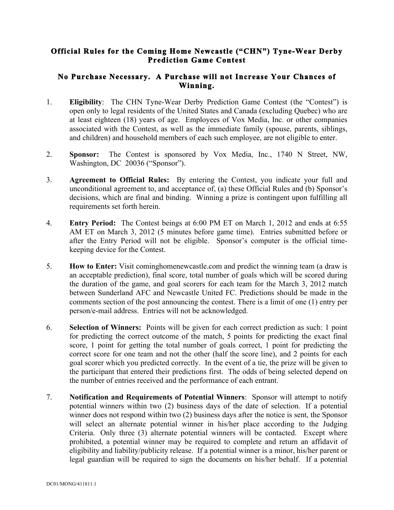## **Official Rules for the Coming Home Newcastle ("CHN") Tyne-Wear Derby Prediction Game Contest**

## **No Purchase Necessary. A Purchase will not Increase Your Chances of Winning.**

- 1. **Eligibility**: The CHN Tyne-Wear Derby Prediction Game Contest (the "Contest") is open only to legal residents of the United States and Canada (excluding Quebec) who are at least eighteen (18) years of age. Employees of Vox Media, Inc. or other companies associated with the Contest, as well as the immediate family (spouse, parents, siblings, and children) and household members of each such employee, are not eligible to enter.
- 2. **Sponsor:** The Contest is sponsored by Vox Media, Inc., 1740 N Street, NW, Washington, DC 20036 ("Sponsor").
- 3. **Agreement to Official Rules:** By entering the Contest, you indicate your full and unconditional agreement to, and acceptance of, (a) these Official Rules and (b) Sponsor's decisions, which are final and binding. Winning a prize is contingent upon fulfilling all requirements set forth herein.
- 4. **Entry Period:** The Contest beings at 6:00 PM ET on March 1, 2012 and ends at 6:55 AM ET on March 3, 2012 (5 minutes before game time). Entries submitted before or after the Entry Period will not be eligible. Sponsor's computer is the official timekeeping device for the Contest.
- 5. **How to Enter:** Visit cominghomenewcastle.com and predict the winning team (a draw is an acceptable prediction), final score, total number of goals which will be scored during the duration of the game, and goal scorers for each team for the March 3, 2012 match between Sunderland AFC and Newcastle United FC. Predictions should be made in the comments section of the post announcing the contest. There is a limit of one (1) entry per person/e-mail address. Entries will not be acknowledged.
- 6. **Selection of Winners:** Points will be given for each correct prediction as such: 1 point for predicting the correct outcome of the match, 5 points for predicting the exact final score, 1 point for getting the total number of goals correct, 1 point for predicting the correct score for one team and not the other (half the score line), and 2 points for each goal scorer which you predicted correctly. In the event of a tie, the prize will be given to the participant that entered their predictions first. The odds of being selected depend on the number of entries received and the performance of each entrant.
- 7. **Notification and Requirements of Potential Winners**: Sponsor will attempt to notify potential winners within two (2) business days of the date of selection. If a potential winner does not respond within two (2) business days after the notice is sent, the Sponsor will select an alternate potential winner in his/her place according to the Judging Criteria. Only three (3) alternate potential winners will be contacted. Except where prohibited, a potential winner may be required to complete and return an affidavit of eligibility and liability/publicity release. If a potential winner is a minor, his/her parent or legal guardian will be required to sign the documents on his/her behalf. If a potential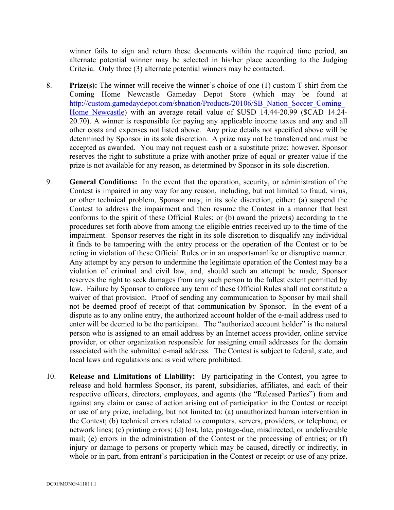winner fails to sign and return these documents within the required time period, an alternate potential winner may be selected in his/her place according to the Judging Criteria. Only three (3) alternate potential winners may be contacted.

- 8. **Prize(s):** The winner will receive the winner's choice of one (1) custom T-shirt from the Coming Home Newcastle Gameday Depot Store (which may be found at http://custom.gamedaydepot.com/sbnation/Products/20106/SB\_Nation\_Soccer\_Coming\_ Home Newcastle) with an average retail value of \$USD 14.44-20.99 (\$CAD 14.24-20.70). A winner is responsible for paying any applicable income taxes and any and all other costs and expenses not listed above. Any prize details not specified above will be determined by Sponsor in its sole discretion. A prize may not be transferred and must be accepted as awarded. You may not request cash or a substitute prize; however, Sponsor reserves the right to substitute a prize with another prize of equal or greater value if the prize is not available for any reason, as determined by Sponsor in its sole discretion.
- 9. **General Conditions:** In the event that the operation, security, or administration of the Contest is impaired in any way for any reason, including, but not limited to fraud, virus, or other technical problem, Sponsor may, in its sole discretion, either: (a) suspend the Contest to address the impairment and then resume the Contest in a manner that best conforms to the spirit of these Official Rules; or (b) award the prize(s) according to the procedures set forth above from among the eligible entries received up to the time of the impairment. Sponsor reserves the right in its sole discretion to disqualify any individual it finds to be tampering with the entry process or the operation of the Contest or to be acting in violation of these Official Rules or in an unsportsmanlike or disruptive manner. Any attempt by any person to undermine the legitimate operation of the Contest may be a violation of criminal and civil law, and, should such an attempt be made, Sponsor reserves the right to seek damages from any such person to the fullest extent permitted by law. Failure by Sponsor to enforce any term of these Official Rules shall not constitute a waiver of that provision. Proof of sending any communication to Sponsor by mail shall not be deemed proof of receipt of that communication by Sponsor. In the event of a dispute as to any online entry, the authorized account holder of the e-mail address used to enter will be deemed to be the participant. The "authorized account holder" is the natural person who is assigned to an email address by an Internet access provider, online service provider, or other organization responsible for assigning email addresses for the domain associated with the submitted e-mail address. The Contest is subject to federal, state, and local laws and regulations and is void where prohibited.
- 10. **Release and Limitations of Liability:** By participating in the Contest, you agree to release and hold harmless Sponsor, its parent, subsidiaries, affiliates, and each of their respective officers, directors, employees, and agents (the "Released Parties") from and against any claim or cause of action arising out of participation in the Contest or receipt or use of any prize, including, but not limited to: (a) unauthorized human intervention in the Contest; (b) technical errors related to computers, servers, providers, or telephone, or network lines; (c) printing errors; (d) lost, late, postage-due, misdirected, or undeliverable mail; (e) errors in the administration of the Contest or the processing of entries; or (f) injury or damage to persons or property which may be caused, directly or indirectly, in whole or in part, from entrant's participation in the Contest or receipt or use of any prize.